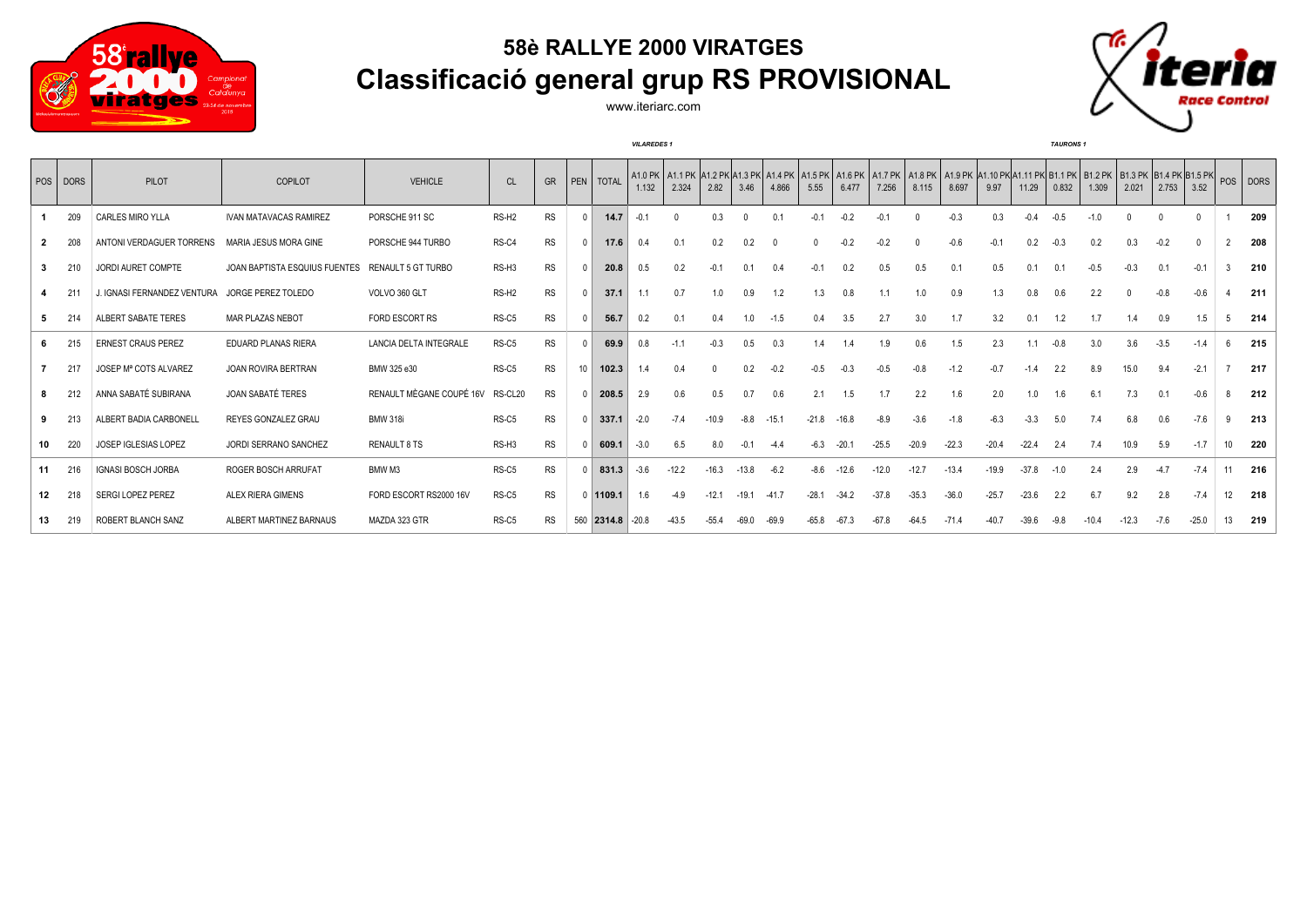

## **58è RALLYE 2000 VIRATGES Classificació general grup RS PROVISIONAL**

ò ace Control

www.iteriarc.com

|    |          |                             |                               |                          |                   |           |           |          | <b>VILAREDES 1</b> |         |         |          |         |         |         |         |                                                                                                                                                                          |         |         |         | <b>TAURONS 1</b> |         |          |              |          |                 |          |
|----|----------|-----------------------------|-------------------------------|--------------------------|-------------------|-----------|-----------|----------|--------------------|---------|---------|----------|---------|---------|---------|---------|--------------------------------------------------------------------------------------------------------------------------------------------------------------------------|---------|---------|---------|------------------|---------|----------|--------------|----------|-----------------|----------|
|    | POS DORS | PILOT                       | <b>COPILOT</b>                | <b>VEHICLE</b>           | <b>CL</b>         | GR        | PEN TOTAL |          | 1.132              | 2.324   | 2.82    | 3.46     | 4.866   | 5.55    | 6.477   | 7.256   | A1.0 PK   A1.1 PK  A1.2 PK A1.3 PK  A1.4 PK   A1.5 PK   A1.6 PK   A1.7 PK   A1.8 PK   A1.9 PK  A1.10 PK A1.11 PK  B1.1 PK   B1.2 PK   B1.3 PK  B1.4 PK B1.5 PK <br>8.115 | 8.697   | 9.97    | 11.29   | 0.832            | 1.309   | 2.021    | 2.753        | 3.52     |                 | POS DORS |
|    | 209      | CARLES MIRO YLLA            | <b>IVAN MATAVACAS RAMIREZ</b> | PORSCHE 911 SC           | RS-H <sub>2</sub> | <b>RS</b> |           | 14.7     | $-0.1$             |         | 0.3     | $\Omega$ | 0.1     | $-0.1$  | $-0.2$  | $-0.1$  |                                                                                                                                                                          | $-0.3$  | 0.3     | $-0.4$  | $-0.5$           | $-1.0$  | $\Omega$ | $\mathsf{O}$ | $\Omega$ |                 | 209      |
|    | 208      | ANTONI VERDAGUER TORRENS    | MARIA JESUS MORA GINE         | PORSCHE 944 TURBO        | RS-C4             | RS        |           | 17.6     | 0.4                | 0.1     | 0.2     | 0.2      | - 0     |         | $-0.2$  | $-0.2$  |                                                                                                                                                                          | $-0.6$  | $-0.1$  | 0.2     | $-0.3$           | 0.2     | 0.3      | $-0.2$       | $\Omega$ |                 | 208      |
|    | 210      | JORDI AURET COMPTE          | JOAN BAPTISTA ESQUIUS FUENTES | RENAULT 5 GT TURBO       | RS-H3             | <b>RS</b> |           | 20.8     | 0.5                | 0.2     | $-0.1$  | 0.1      | 0.4     | $-0.1$  | 0.2     | 0.5     | 0.5                                                                                                                                                                      | 0.1     | 0.5     | 0.1     | 0.1              | $-0.5$  | $-0.3$   | 0.1          | $-0.1$   |                 | 210      |
|    | 21       | J. IGNASI FERNANDEZ VENTURA | JORGE PEREZ TOLEDO            | VOLVO 360 GLT            | RS-H <sub>2</sub> | <b>RS</b> |           | 37.1     | 1.1                | 0.7     | 1.0     | 0.9      | 1.2     | 1.3     | 0.8     |         | 1.0                                                                                                                                                                      | 0.9     | 1.3     | 0.8     | 0.6              | 2.2     |          | $-0.8$       | $-0.6$   |                 | 211      |
|    |          | ALBERT SABATE TERES         | <b>MAR PLAZAS NEBOT</b>       | FORD ESCORT RS           | RS-C5             | <b>RS</b> |           | 56.7     | 0.2                | 0.1     | 0.4     | 1.0      | $-1.5$  | 0.4     | 3.5     | 2.7     | 3.0                                                                                                                                                                      | 1.7     | 3.2     | 0.1     | 1.2              | 1.7     | 1.4      | 0.9          | 1.5      | 5               | 214      |
|    | 215      | <b>ERNEST CRAUS PEREZ</b>   | <b>EDUARD PLANAS RIERA</b>    | LANCIA DELTA INTEGRALE   | RS-C5             | <b>RS</b> |           | 69.9     | 0.8                | $-1.1$  | $-0.3$  | 0.5      | 0.3     |         |         | 1.9     | 0.6                                                                                                                                                                      | 1.5     | 2.3     | 1.1     | $-0.8$           | 3.0     | 3.6      | $-3.5$       | $-1.4$   |                 | 215      |
|    | 217      | JOSEP Mª COTS ALVAREZ       | JOAN ROVIRA BERTRAN           | BMW 325 e30              | RS-C5             | <b>RS</b> | 10        | 102.3    | 1.4                | 0.4     |         | 0.2      | $-0.2$  | $-0.5$  | $-0.3$  | $-0.5$  | $-0.8$                                                                                                                                                                   | $-1.2$  | $-0.7$  | $-1.4$  | 2.2              | 8.9     | 15.0     | 9.4          | $-2.1$   |                 | 217      |
|    | 212      | ANNA SABATÉ SUBIRANA        | JOAN SABATÉ TERES             | RENAULT MÈGANE COUPÉ 16V | RS-CL20           | RS        |           | 208.5    | 2.9                | 0.6     | 0.5     | 0.7      | 0.6     | 2.1     | 1.5     | 1.7     | 2.2                                                                                                                                                                      | 1.6     | 2.0     | 1.0     | 1.6              | 6.1     | 7.3      | 0.1          | $-0.6$   |                 | 212      |
|    | 213      | ALBERT BADIA CARBONELL      | REYES GONZALEZ GRAU           | <b>BMW 318i</b>          | RS-C5             | <b>RS</b> |           | 337.1    | $-2.0$             | $-7.4$  | $-10.9$ | $-8.8$   | $-15.1$ | $-21.8$ | $-16.8$ | $-8.9$  | $-3.6$                                                                                                                                                                   | $-1.8$  | $-6.3$  | $-3.3$  | 5.0              | 7.4     | 6.8      | 0.6          | $-7.6$   |                 | 213      |
| 10 | 220      | <b>JOSEP IGLESIAS LOPEZ</b> | JORDI SERRANO SANCHEZ         | RENAULT 8 TS             | RS-H3             | RS        |           | 609.1    | $-3.0$             | 6.5     | 8.0     | $-0.1$   | $-4.4$  | -6.3    | $-20.1$ | $-25.5$ | $-20.9$                                                                                                                                                                  | $-22.3$ | $-20.4$ | $-22.4$ | 2.4              | 7.4     | 10.9     | 5.9          | $-1.7$   | 10 <sup>1</sup> | 220      |
| 11 | 216      | <b>IGNASI BOSCH JORBA</b>   | ROGER BOSCH ARRUFAT           | BMW M3                   | RS-C5             | RS        |           | 831.3    | $-3.6$             | $-12.2$ | $-16.3$ | $-13.8$  | $-6.2$  | -8.6    | $-12.6$ | $-12.0$ | $-12.7$                                                                                                                                                                  | $-13.4$ | $-19.9$ | $-37.8$ | $-1.0$           | 2.4     | 2.9      | $-4.7$       | $-7.4$   | 11              | 216      |
| 12 | 218      | SERGI LOPEZ PEREZ           | <b>ALEX RIERA GIMENS</b>      | FORD ESCORT RS2000 16V   | RS-C5             | RS        |           | 0 1109.1 | 1.6                | $-4.9$  | $-12.1$ | $-19.1$  | $-41.7$ | $-28.1$ | $-34.2$ | $-37.8$ | $-35.3$                                                                                                                                                                  | $-36.0$ | $-25.7$ | $-23.6$ | 2.2              | 6.7     | 9.2      | 2.8          | $-7.4$   | 12              | 218      |
| 13 | 219      | ROBERT BLANCH SANZ          | ALBERT MARTINEZ BARNAUS       | MAZDA 323 GTR            | RS-C5             | <b>RS</b> | 560       | 2314.8   | $-20.8$            | $-43.5$ | $-55.4$ | $-69.0$  | $-69.9$ | $-65.8$ | $-67.3$ | $-67.8$ | $-64.5$                                                                                                                                                                  | $-71.4$ | -40 7   | $-39.6$ | $-9.8$           | $-10.4$ | $-12.3$  | $-7.6$       | $-25.0$  | 13              | 219      |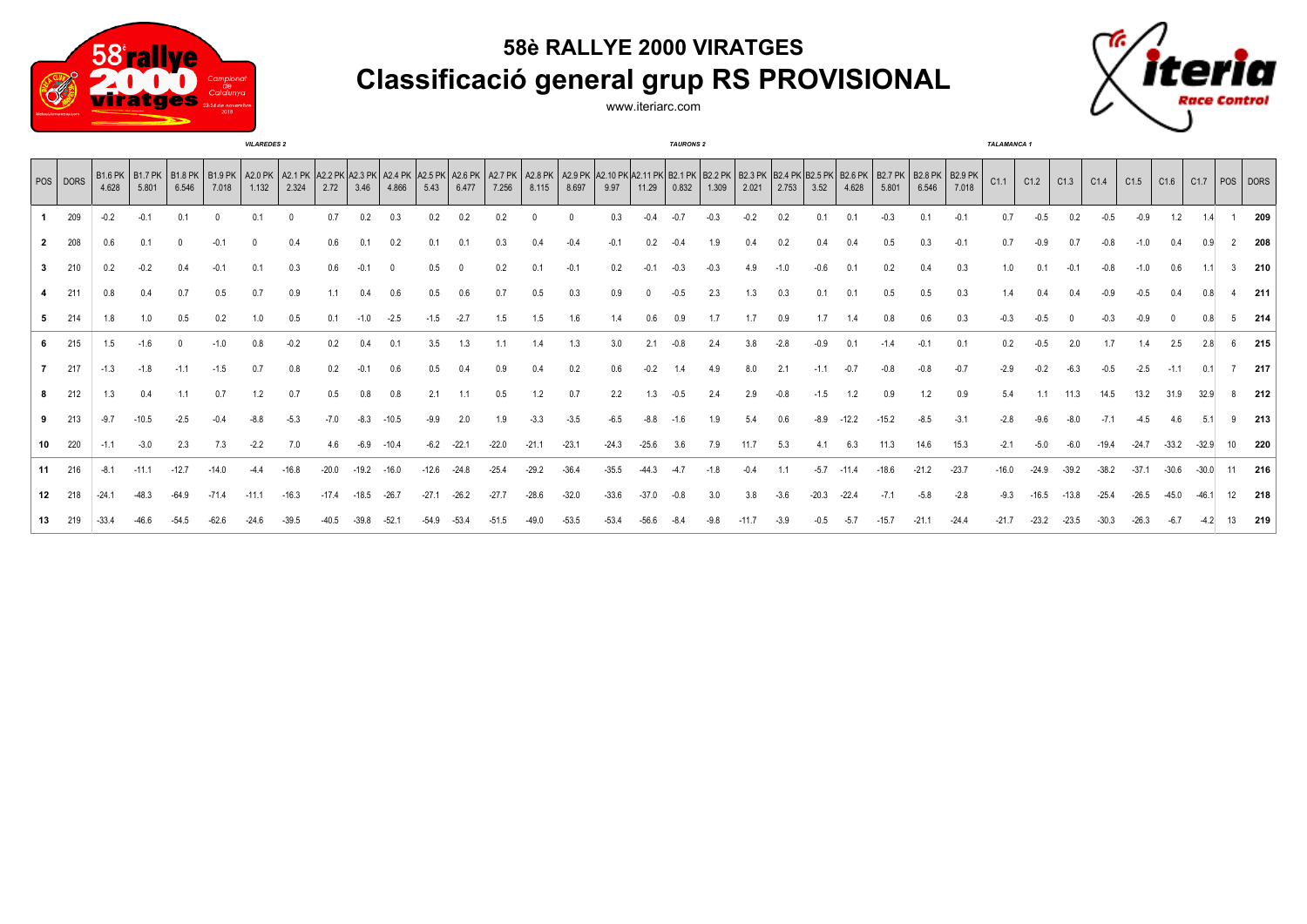## **58è RALLYE 2000 VIRATGES Classificació general grup RS PROVISIONAL**



www.iteriarc.com



|    |          |         |                                                                                                                                                                                                                            |         |         | <b>VILAREDES 2</b> |         |         |         |         |         |         |         |         |              |         |         | <b>TAURONS 2</b> |        |        |        |         |         |         |         |         | <b>TALAMANCA 1</b> |         |         |         |         |         |         |               |              |
|----|----------|---------|----------------------------------------------------------------------------------------------------------------------------------------------------------------------------------------------------------------------------|---------|---------|--------------------|---------|---------|---------|---------|---------|---------|---------|---------|--------------|---------|---------|------------------|--------|--------|--------|---------|---------|---------|---------|---------|--------------------|---------|---------|---------|---------|---------|---------|---------------|--------------|
|    | POS DORS | 4.628   | B1.6PK B1.7PK B1.8PK B1.8PK A2.0PK A2.0PK A2.1PK A2.2PK A2.4PK A2.5PK A2.4PK A2.5PK A2.5PK A2.7PK A2.8PK A2.9PK A2.9PK A2.1PK B2.1PK B2.1PK B2.2PK B2.3PK B2.6PK B2.5PK B2.7PK B2.8PK B2.8PK B2.8PK B2.8PK B2.9PK<br>5.801 | 6.546   | 7.018   | 1.132              | 2.324   | 2.72    | 3.46    | 4.866   | 5.43    | 6.477   | 7.256   | 8.115   | 8.697        | 9.97    | 11.29   | 0.832            | 1.309  | 2.021  | 2.753  | 3.52    | 4.628   | 5.801   | 6.546   | 7.018   | C1.1               | C1.2    | C1.3    | C1.4    | C1.5    | C1.6    | C1.7    |               | $ pos $ DORS |
|    | 209      | $-0.2$  | $-0.1$                                                                                                                                                                                                                     | 0.1     |         | 0.1                |         | 0.7     | 0.2     | 0.3     | 0.2     | 0.2     | 0.2     |         | $\mathbf{0}$ | 0.3     | $-0.4$  | $-0.7$           | $-0.3$ | $-0.2$ | 0.2    | 0.1     |         | $-0.3$  | 0.1     | $-0.1$  | 0.7                |         | 0.2     |         | $-0.9$  | 1.2     |         |               | 209          |
|    | 208      | 0.6     | 0.1                                                                                                                                                                                                                        |         | -0.1    |                    |         |         |         |         | 0.1     | 0.1     | 0.3     |         |              |         | 0.2     | $-0.4$           |        | 0.4    | 0.2    | 0.4     |         |         | 0.3     | $-0.1$  |                    |         |         |         |         | 0.4     |         |               | 208          |
|    | 210      | 0.2     | $-0.2$                                                                                                                                                                                                                     | 0.4     | $-0.1$  |                    |         | 0.6     |         |         | 0.5     |         | 0.2     |         | $-0.1$       | 0.2     | $-0.1$  | $-0.3$           | $-0.3$ | 4.9    | $-1.0$ | $-0.6$  |         | 0.2     |         | 0.3     |                    |         |         |         |         | 0.6     |         | $\mathcal{R}$ | 210          |
|    | 211      | 0.8     |                                                                                                                                                                                                                            | 0.7     | 0.5     |                    |         |         |         |         | 0.5     |         | 0.7     | 0.5     | 0.3          |         |         | $-0.5$           | 2.3    | 1.3    | 0.3    | 0.1     |         |         |         | 0.3     |                    |         |         |         |         |         |         |               | 211          |
|    | 214      | 1.8     | 1.0                                                                                                                                                                                                                        | 0.5     | 0.2     |                    | 0.5     | 0.1     | $-1.0$  | $-2.5$  | $-1.5$  | $-2.7$  | 1.5     | 1.5     | 1.6          | 1.4     | 0.6     | 0.9              |        | 1.7    | 0.9    |         |         |         | 0.6     |         |                    |         |         |         |         |         |         |               | 214          |
|    | 215      | 1.5     | $-1.6$                                                                                                                                                                                                                     |         | $-1.0$  |                    |         | 0.2     |         |         | 3.5     | 1.3     |         | 1.4     | 1.3          | 3.0     |         | $-0.8$           |        | 3.8    |        | $-0.9$  |         |         | $-0.1$  | 0.1     |                    |         |         |         |         | 2.5     |         |               | 215          |
|    | 217      | $-1.3$  | $-1.8$                                                                                                                                                                                                                     | $-1.1$  | $-1.5$  |                    | 0.8     | 0.2     |         | 0.6     | 0.5     | 0.4     | 0.9     | 0.4     | 0.2          | 0.6     | $-0.2$  | 1.4              | 4.9    | 8.0    | 2.1    |         | $-0.7$  |         | $-0.8$  | $-0.7$  | $-2.9$             |         |         |         | $-2.5$  | $-1.1$  |         |               | 217          |
|    | 212      | 1.3     | 0.4                                                                                                                                                                                                                        | 1.1     | 0.7     | 1.2                | 0.7     | 0.5     | 0.8     | 0.8     | 2.1     | 1.1     | 0.5     | 1.2     | 0.7          | 2.2     | 1.3     | $-0.5$           | 2.4    | 2.9    | $-0.8$ | $-1.5$  | 1.2     | 0.9     | 1.2     | 0.9     | 5.4                | 1.1     | 11.3    | 14.5    | 13.2    | 31.9    | 32.9    |               | 212          |
|    | 213      | $-9.7$  | $-10.5$                                                                                                                                                                                                                    | $-2.5$  |         |                    |         |         |         | $-10.5$ | $-9.9$  | 2.0     | 1.9     |         | $-3.5$       |         | $-8.8$  | $-1.6$           |        | 5.4    | 0.6    | $-8.9$  | $-12.2$ | $-15.2$ | $-8.5$  | $-3.1$  | $-2.8$             |         |         |         |         | 4.6     |         |               | 213          |
| 10 | 220      | $-1.1$  | $-3.0$                                                                                                                                                                                                                     | 2.3     | 7.3     | $-2.2$             | 7.0     | 4.6     | $-6.9$  | $-10.4$ | $-6.2$  | $-22.1$ | $-22.0$ | $-21.1$ | $-23.1$      | $-24.3$ | $-25.6$ | 3.6              | 7.9    | 11.7   | 5.3    | 4.1     | 6.3     | 11.3    | 14.6    | 15.3    | $-2.1$             | $-5.0$  | $-6.0$  | $-19.4$ | $-24.7$ | $-33.2$ | $-32.9$ | 10            | 220          |
| 11 | 216      | $-8.1$  |                                                                                                                                                                                                                            | $-12.7$ | $-14.0$ |                    |         |         |         |         | $-12.6$ | $-24.8$ | $-25.4$ |         | $-36.4$      |         |         |                  |        |        |        | $-5.7$  |         |         | $-21.2$ | $-23.7$ | $-16.0$            | $-24.9$ |         | $-38.2$ | $-37.1$ | $-30.6$ |         |               | 216          |
| 12 | 218      | $-24.1$ | $-48.3$                                                                                                                                                                                                                    | $-64.9$ | $-71.4$ | $-11.1$            | $-16.3$ | $-17.4$ | $-18.5$ | $-26.7$ | $-27.1$ | $-26.2$ | $-27.7$ | $-28.6$ | $-32.0$      | $-33.6$ | $-37.0$ | $-0.8$           | 3.0    | 3.8    | $-3.6$ | $-20.3$ | $-22.4$ | $-7.1$  | $-5.8$  | $-2.8$  | $-9.3$             | -16.5   | $-13.8$ | $-25.4$ | $-26.5$ | $-45.0$ | $-46.1$ | 12            | 218          |
|    |          |         |                                                                                                                                                                                                                            |         |         |                    |         |         |         |         |         |         |         |         |              |         |         |                  |        |        |        |         |         |         |         |         |                    |         |         |         |         |         |         |               | 219          |